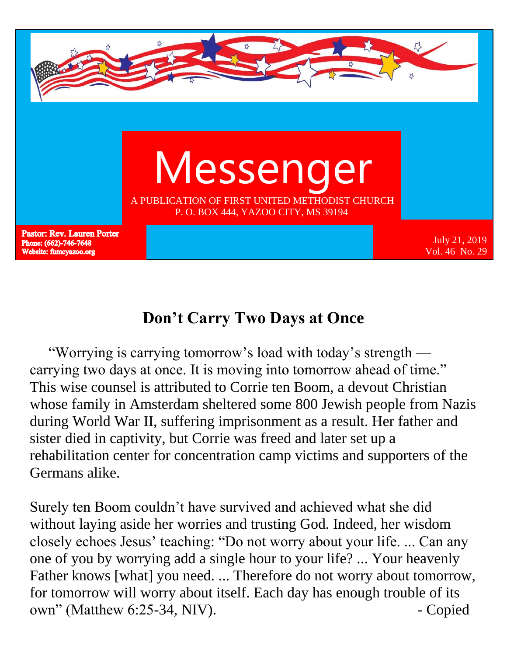

## **Don't Carry Two Days at Once**

 "Worrying is carrying tomorrow's load with today's strength carrying two days at once. It is moving into tomorrow ahead of time." This wise counsel is attributed to Corrie ten Boom, a devout Christian whose family in Amsterdam sheltered some 800 Jewish people from Nazis during World War II, suffering imprisonment as a result. Her father and sister died in captivity, but Corrie was freed and later set up a rehabilitation center for concentration camp victims and supporters of the Germans alike.

Surely ten Boom couldn't have survived and achieved what she did without laying aside her worries and trusting God. Indeed, her wisdom closely echoes Jesus' teaching: "Do not worry about your life. ... Can any one of you by worrying add a single hour to your life? ... Your heavenly Father knows [what] you need. ... Therefore do not worry about tomorrow, for tomorrow will worry about itself. Each day has enough trouble of its own" (Matthew 6:25-34, NIV). - Copied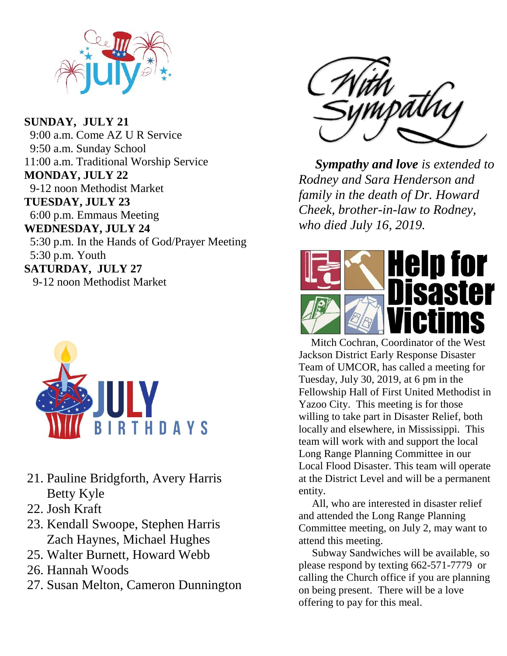

**SUNDAY, JULY 21** 9:00 a.m. Come AZ U R Service 9:50 a.m. Sunday School 11:00 a.m. Traditional Worship Service **MONDAY, JULY 22** 9-12 noon Methodist Market **TUESDAY, JULY 23** 6:00 p.m. Emmaus Meeting **WEDNESDAY, JULY 24** 5:30 p.m. In the Hands of God/Prayer Meeting 5:30 p.m. Youth **SATURDAY, JULY 27** 9-12 noon Methodist Market



- 21. Pauline Bridgforth, Avery Harris Betty Kyle
- 22. Josh Kraft
- 23. Kendall Swoope, Stephen Harris Zach Haynes, Michael Hughes
- 25. Walter Burnett, Howard Webb
- 26. Hannah Woods
- 27. Susan Melton, Cameron Dunnington



 *Sympathy and love is extended to Rodney and Sara Henderson and family in the death of Dr. Howard Cheek, brother-in-law to Rodney, who died July 16, 2019.*



 Mitch Cochran, Coordinator of the West Jackson District Early Response Disaster Team of UMCOR, has called a meeting for Tuesday, July 30, 2019, at 6 pm in the Fellowship Hall of First United Methodist in Yazoo City. This meeting is for those willing to take part in Disaster Relief, both locally and elsewhere, in Mississippi. This team will work with and support the local Long Range Planning Committee in our Local Flood Disaster. This team will operate at the District Level and will be a permanent entity.

 All, who are interested in disaster relief and attended the Long Range Planning Committee meeting, on July 2, may want to attend this meeting.

 Subway Sandwiches will be available, so please respond by texting 662-571-7779 or calling the Church office if you are planning on being present. There will be a love offering to pay for this meal.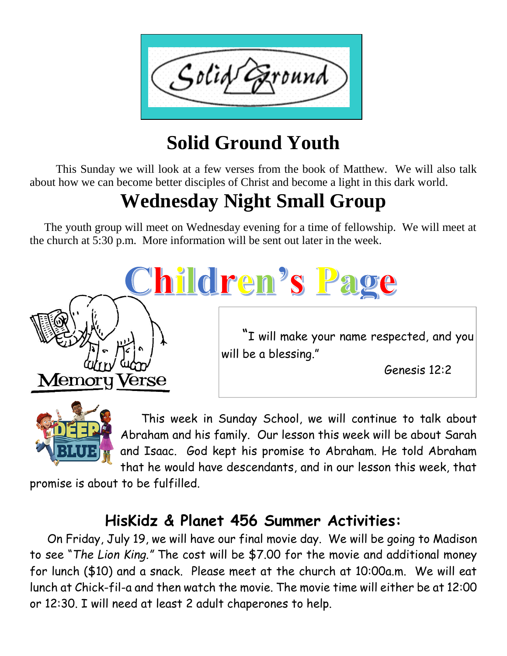

# **Solid Ground Youth**

 This Sunday we will look at a few verses from the book of Matthew. We will also talk about how we can become better disciples of Christ and become a light in this dark world.

# **Wednesday Night Small Group**

 The youth group will meet on Wednesday evening for a time of fellowship. We will meet at the church at 5:30 p.m. More information will be sent out later in the week.





 This week in Sunday School, we will continue to talk about Abraham and his family. Our lesson this week will be about Sarah and Isaac. God kept his promise to Abraham. He told Abraham that he would have descendants, and in our lesson this week, that

promise is about to be fulfilled.

## **HisKidz & Planet 456 Summer Activities:**

 On Friday, July 19, we will have our final movie day. We will be going to Madison to see "*The Lion King."* The cost will be \$7.00 for the movie and additional money for lunch (\$10) and a snack. Please meet at the church at 10:00a.m. We will eat lunch at Chick-fil-a and then watch the movie. The movie time will either be at 12:00 or 12:30. I will need at least 2 adult chaperones to help.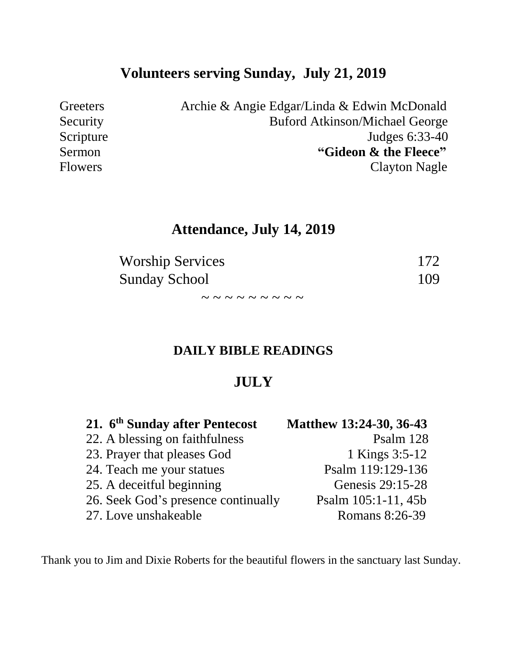## **Volunteers serving Sunday, July 21, 2019**

Greeters Archie & Angie Edgar/Linda & Edwin McDonald Security Buford Atkinson/Michael George Scripture Judges 6:33-40 Sermon **"Gideon & the Fleece"** Flowers Clayton Nagle

## **Attendance, July 14, 2019**

| <b>Worship Services</b>                                 | 172 |
|---------------------------------------------------------|-----|
| <b>Sunday School</b>                                    | 109 |
| $\sim$ $\sim$ $\sim$ $\sim$ $\sim$ $\sim$ $\sim$ $\sim$ |     |

#### **DAILY BIBLE READINGS**

#### **JULY**

| 21. 6 <sup>th</sup> Sunday after Pentecost | Matthew 13:24-30, 36-43 |
|--------------------------------------------|-------------------------|
| 22. A blessing on faithfulness             | Psalm 128               |
| 23. Prayer that pleases God                | 1 Kings 3:5-12          |
| 24. Teach me your statues                  | Psalm 119:129-136       |
| 25. A deceitful beginning                  | Genesis 29:15-28        |
| 26. Seek God's presence continually        | Psalm 105:1-11, 45b     |
| 27. Love unshakeable                       | Romans 8:26-39          |

Thank you to Jim and Dixie Roberts for the beautiful flowers in the sanctuary last Sunday.